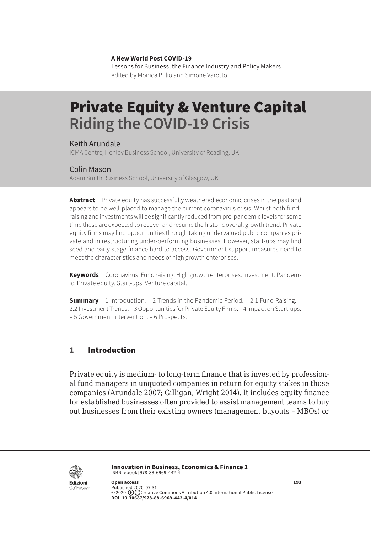**A New World Post COVID-19** Lessons for Business, the Finance Industry and Policy Makers edited by Monica Billio and Simone Varotto

# Private Equity & Venture Capital **Riding the COVID-19 Crisis**

Keith Arundale ICMA Centre, Henley Business School, University of Reading, UK

#### Colin Mason

Adam Smith Business School, University of Glasgow, UK

**Abstract** Private equity has successfully weathered economic crises in the past and appears to be well-placed to manage the current coronavirus crisis. Whilst both fundraising and investments will be significantly reduced from pre-pandemic levels for some time these are expected to recover and resume the historic overall growth trend. Private equity firms may find opportunities through taking undervalued public companies private and in restructuring under-performing businesses. However, start-ups may find seed and early stage finance hard to access. Government support measures need to meet the characteristics and needs of high growth enterprises.

**Keywords** Coronavirus. Fund raising. High growth enterprises. Investment. Pandemic. Private equity. Start-ups. Venture capital.

**Summary** [1 Introduction.](#page-1-0) – [2 Trends in the Pandemic Period](#page-3-0). – [2.1 Fund Raising.](#page-3-0) – 2.2 [Investment Trends.](#page-3-0) – [3 Opportunities for Private Equity Firms.](#page-5-0) – [4 Impact on Start-ups.](#page-6-0) – [5 Government Intervention.](#page-8-0) – [6 Prospects](#page-9-0).

# 1 Introduction

Private equity is medium- to long-term finance that is invested by professional fund managers in unquoted companies in return for equity stakes in those companies (Arundale 2007; Gilligan, Wright 2014). It includes equity finance for established businesses often provided to assist management teams to buy out businesses from their existing owners (management buyouts – MBOs) or



**Innovation in Business, Economics & Finance 1** ISBN [ebook] 978-88-6969-442-4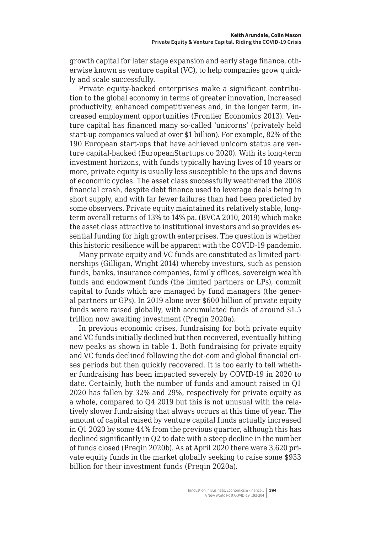<span id="page-1-0"></span>growth capital for later stage expansion and early stage finance, otherwise known as venture capital (VC), to help companies grow quickly and scale successfully.

Private equity-backed enterprises make a significant contribution to the global economy in terms of greater innovation, increased productivity, enhanced competitiveness and, in the longer term, increased employment opportunities (Frontier Economics 2013). Venture capital has financed many so-called 'unicorns' (privately held start-up companies valued at over \$1 billion). For example, 82% of the 190 European start-ups that have achieved unicorn status are venture capital-backed (EuropeanStartups.co 2020). With its long-term investment horizons, with funds typically having lives of 10 years or more, private equity is usually less susceptible to the ups and downs of economic cycles. The asset class successfully weathered the 2008 financial crash, despite debt finance used to leverage deals being in short supply, and with far fewer failures than had been predicted by some observers. Private equity maintained its relatively stable, longterm overall returns of 13% to 14% pa. (BVCA 2010, 2019) which make the asset class attractive to institutional investors and so provides essential funding for high growth enterprises. The question is whether this historic resilience will be apparent with the COVID-19 pandemic.

Many private equity and VC funds are constituted as limited partnerships (Gilligan, Wright 2014) whereby investors, such as pension funds, banks, insurance companies, family offices, sovereign wealth funds and endowment funds (the limited partners or LPs), commit capital to funds which are managed by fund managers (the general partners or GPs). In 2019 alone over \$600 billion of private equity funds were raised globally, with accumulated funds of around \$1.5 trillion now awaiting investment (Preqin 2020a).

In previous economic crises, fundraising for both private equity and VC funds initially declined but then recovered, eventually hitting new peaks as shown in table 1. Both fundraising for private equity and VC funds declined following the dot-com and global financial crises periods but then quickly recovered. It is too early to tell whether fundraising has been impacted severely by COVID-19 in 2020 to date. Certainly, both the number of funds and amount raised in Q1 2020 has fallen by 32% and 29%, respectively for private equity as a whole, compared to Q4 2019 but this is not unusual with the relatively slower fundraising that always occurs at this time of year. The amount of capital raised by venture capital funds actually increased in Q1 2020 by some 44% from the previous quarter, although this has declined significantly in Q2 to date with a steep decline in the number of funds closed (Preqin 2020b). As at April 2020 there were 3,620 private equity funds in the market globally seeking to raise some \$933 billion for their investment funds (Preqin 2020a).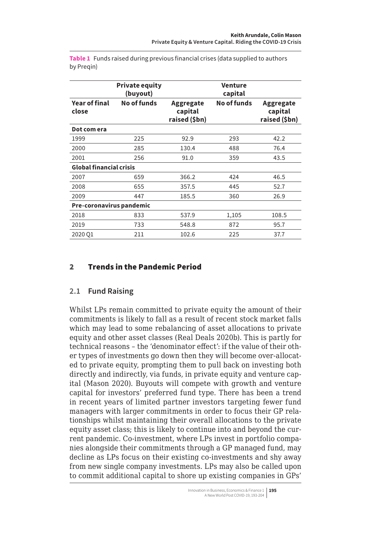|                                | <b>Private equity</b><br>(buyout) |                                       | Venture<br>capital |                                       |
|--------------------------------|-----------------------------------|---------------------------------------|--------------------|---------------------------------------|
| <b>Year of final</b><br>close  | No of funds                       | Aggregate<br>capital<br>raised (\$bn) | No of funds        | Aggregate<br>capital<br>raised (\$bn) |
| Dot com era                    |                                   |                                       |                    |                                       |
| 1999                           | 225                               | 92.9                                  | 293                | 42.2                                  |
| 2000                           | 285                               | 130.4                                 | 488                | 76.4                                  |
| 2001                           | 256                               | 91.0                                  | 359                | 43.5                                  |
| <b>Global financial crisis</b> |                                   |                                       |                    |                                       |
| 2007                           | 659                               | 366.2                                 | 424                | 46.5                                  |
| 2008                           | 655                               | 357.5                                 | 445                | 52.7                                  |
| 2009                           | 447                               | 185.5                                 | 360                | 26.9                                  |
| Pre-coronavirus pandemic       |                                   |                                       |                    |                                       |
| 2018                           | 833                               | 537.9                                 | 1,105              | 108.5                                 |
| 2019                           | 733                               | 548.8                                 | 872                | 95.7                                  |
| 2020 <sub>Q1</sub>             | 211                               | 102.6                                 | 225                | 37.7                                  |

**Table 1** Funds raised during previous financial crises (data supplied to authors by Preqin)

# 2 Trends in the Pandemic Period

# **2.1 Fund Raising**

Whilst LPs remain committed to private equity the amount of their commitments is likely to fall as a result of recent stock market falls which may lead to some rebalancing of asset allocations to private equity and other asset classes (Real Deals 2020b). This is partly for technical reasons – the 'denominator effect': if the value of their other types of investments go down then they will become over-allocated to private equity, prompting them to pull back on investing both directly and indirectly, via funds, in private equity and venture capital (Mason 2020). Buyouts will compete with growth and venture capital for investors' preferred fund type. There has been a trend in recent years of limited partner investors targeting fewer fund managers with larger commitments in order to focus their GP relationships whilst maintaining their overall allocations to the private equity asset class; this is likely to continue into and beyond the current pandemic. Co-investment, where LPs invest in portfolio companies alongside their commitments through a GP managed fund, may decline as LPs focus on their existing co-investments and shy away from new single company investments. LPs may also be called upon to commit additional capital to shore up existing companies in GPs'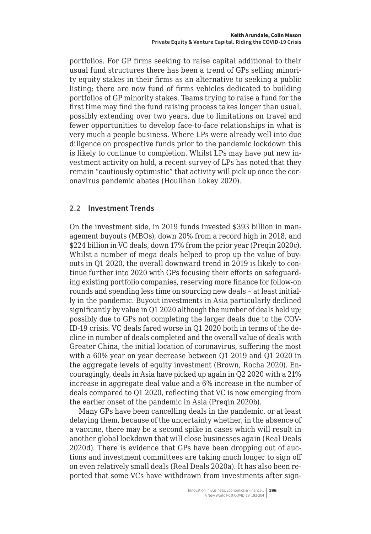<span id="page-3-0"></span>portfolios. For GP firms seeking to raise capital additional to their usual fund structures there has been a trend of GPs selling minority equity stakes in their firms as an alternative to seeking a public listing; there are now fund of firms vehicles dedicated to building portfolios of GP minority stakes. Teams trying to raise a fund for the first time may find the fund raising process takes longer than usual, possibly extending over two years, due to limitations on travel and fewer opportunities to develop face-to-face relationships in what is very much a people business. Where LPs were already well into due diligence on prospective funds prior to the pandemic lockdown this is likely to continue to completion. Whilst LPs may have put new investment activity on hold, a recent survey of LPs has noted that they remain "cautiously optimistic" that activity will pick up once the coronavirus pandemic abates (Houlihan Lokey 2020).

# **2.2 Investment Trends**

On the investment side, in 2019 funds invested \$393 billion in management buyouts (MBOs), down 20% from a record high in 2018, and \$224 billion in VC deals, down 17% from the prior year (Preqin 2020c). Whilst a number of mega deals helped to prop up the value of buyouts in Q1 2020, the overall downward trend in 2019 is likely to continue further into 2020 with GPs focusing their efforts on safeguarding existing portfolio companies, reserving more finance for follow-on rounds and spending less time on sourcing new deals – at least initially in the pandemic. Buyout investments in Asia particularly declined significantly by value in Q1 2020 although the number of deals held up; possibly due to GPs not completing the larger deals due to the COV-ID-19 crisis. VC deals fared worse in Q1 2020 both in terms of the decline in number of deals completed and the overall value of deals with Greater China, the initial location of coronavirus, suffering the most with a 60% year on year decrease between Q1 2019 and Q1 2020 in the aggregate levels of equity investment (Brown, Rocha 2020). Encouragingly, deals in Asia have picked up again in Q2 2020 with a 21% increase in aggregate deal value and a 6% increase in the number of deals compared to Q1 2020, reflecting that VC is now emerging from the earlier onset of the pandemic in Asia (Preqin 2020b).

Many GPs have been cancelling deals in the pandemic, or at least delaying them, because of the uncertainty whether, in the absence of a vaccine, there may be a second spike in cases which will result in another global lockdown that will close businesses again (Real Deals 2020d). There is evidence that GPs have been dropping out of auctions and investment committees are taking much longer to sign off on even relatively small deals (Real Deals 2020a). It has also been reported that some VCs have withdrawn from investments after sign-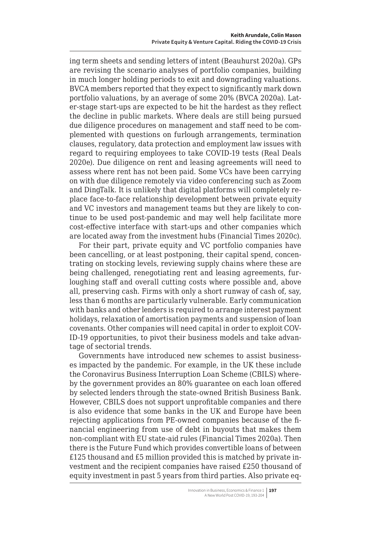ing term sheets and sending letters of intent (Beauhurst 2020a). GPs are revising the scenario analyses of portfolio companies, building in much longer holding periods to exit and downgrading valuations. BVCA members reported that they expect to significantly mark down portfolio valuations, by an average of some 20% (BVCA 2020a). Later-stage start-ups are expected to be hit the hardest as they reflect the decline in public markets. Where deals are still being pursued due diligence procedures on management and staff need to be complemented with questions on furlough arrangements, termination clauses, regulatory, data protection and employment law issues with regard to requiring employees to take COVID-19 tests (Real Deals 2020e). Due diligence on rent and leasing agreements will need to assess where rent has not been paid. Some VCs have been carrying on with due diligence remotely via video conferencing such as Zoom and DingTalk. It is unlikely that digital platforms will completely replace face-to-face relationship development between private equity and VC investors and management teams but they are likely to continue to be used post-pandemic and may well help facilitate more cost-effective interface with start-ups and other companies which are located away from the investment hubs (Financial Times 2020c).

For their part, private equity and VC portfolio companies have been cancelling, or at least postponing, their capital spend, concentrating on stocking levels, reviewing supply chains where these are being challenged, renegotiating rent and leasing agreements, furloughing staff and overall cutting costs where possible and, above all, preserving cash. Firms with only a short runway of cash of, say, less than 6 months are particularly vulnerable. Early communication with banks and other lenders is required to arrange interest payment holidays, relaxation of amortisation payments and suspension of loan covenants. Other companies will need capital in order to exploit COV-ID-19 opportunities, to pivot their business models and take advantage of sectorial trends.

Governments have introduced new schemes to assist businesses impacted by the pandemic. For example, in the UK these include the Coronavirus Business Interruption Loan Scheme (CBILS) whereby the government provides an 80% guarantee on each loan offered by selected lenders through the state-owned British Business Bank. However, CBILS does not support unprofitable companies and there is also evidence that some banks in the UK and Europe have been rejecting applications from PE-owned companies because of the financial engineering from use of debt in buyouts that makes them non-compliant with EU state-aid rules (Financial Times 2020a). Then there is the Future Fund which provides convertible loans of between £125 thousand and £5 million provided this is matched by private investment and the recipient companies have raised £250 thousand of equity investment in past 5 years from third parties. Also private eq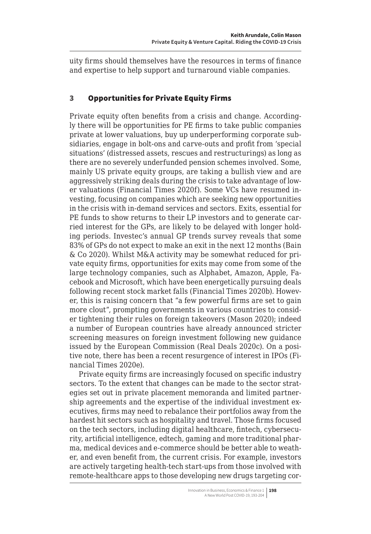<span id="page-5-0"></span>uity firms should themselves have the resources in terms of finance and expertise to help support and turnaround viable companies.

# 3 Opportunities for Private Equity Firms

Private equity often benefits from a crisis and change. Accordingly there will be opportunities for PE firms to take public companies private at lower valuations, buy up underperforming corporate subsidiaries, engage in bolt-ons and carve-outs and profit from 'special situations' (distressed assets, rescues and restructurings) as long as there are no severely underfunded pension schemes involved. Some, mainly US private equity groups, are taking a bullish view and are aggressively striking deals during the crisis to take advantage of lower valuations (Financial Times 2020f). Some VCs have resumed investing, focusing on companies which are seeking new opportunities in the crisis with in-demand services and sectors. Exits, essential for PE funds to show returns to their LP investors and to generate carried interest for the GPs, are likely to be delayed with longer holding periods. Investec's annual GP trends survey reveals that some 83% of GPs do not expect to make an exit in the next 12 months (Bain & Co 2020). Whilst M&A activity may be somewhat reduced for private equity firms, opportunities for exits may come from some of the large technology companies, such as Alphabet, Amazon, Apple, Facebook and Microsoft, which have been energetically pursuing deals following recent stock market falls (Financial Times 2020b). However, this is raising concern that "a few powerful firms are set to gain more clout", prompting governments in various countries to consider tightening their rules on foreign takeovers (Mason 2020); indeed a number of European countries have already announced stricter screening measures on foreign investment following new guidance issued by the European Commission (Real Deals 2020c). On a positive note, there has been a recent resurgence of interest in IPOs (Financial Times 2020e).

Private equity firms are increasingly focused on specific industry sectors. To the extent that changes can be made to the sector strategies set out in private placement memoranda and limited partnership agreements and the expertise of the individual investment executives, firms may need to rebalance their portfolios away from the hardest hit sectors such as hospitality and travel. Those firms focused on the tech sectors, including digital healthcare, fintech, cybersecurity, artificial intelligence, edtech, gaming and more traditional pharma, medical devices and e-commerce should be better able to weather, and even benefit from, the current crisis. For example, investors are actively targeting health-tech start-ups from those involved with remote-healthcare apps to those developing new drugs targeting cor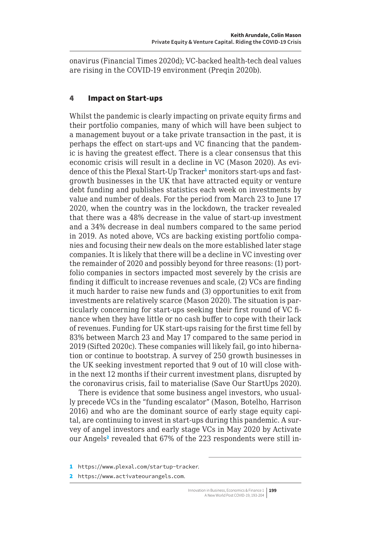<span id="page-6-0"></span>onavirus (Financial Times 2020d); VC-backed health-tech deal values are rising in the COVID-19 environment (Preqin 2020b).

# 4 Impact on Start-ups

Whilst the pandemic is clearly impacting on private equity firms and their portfolio companies, many of which will have been subject to a management buyout or a take private transaction in the past, it is perhaps the effect on start-ups and VC financing that the pandemic is having the greatest effect. There is a clear consensus that this economic crisis will result in a decline in VC (Mason 2020). As evidence of this the Plexal Start-Up Tracker<sup>1</sup> monitors start-ups and fastgrowth businesses in the UK that have attracted equity or venture debt funding and publishes statistics each week on investments by value and number of deals. For the period from March 23 to June 17 2020, when the country was in the lockdown, the tracker revealed that there was a 48% decrease in the value of start-up investment and a 34% decrease in deal numbers compared to the same period in 2019. As noted above, VCs are backing existing portfolio companies and focusing their new deals on the more established later stage companies. It is likely that there will be a decline in VC investing over the remainder of 2020 and possibly beyond for three reasons: (1) portfolio companies in sectors impacted most severely by the crisis are finding it difficult to increase revenues and scale, (2) VCs are finding it much harder to raise new funds and (3) opportunities to exit from investments are relatively scarce (Mason 2020). The situation is particularly concerning for start-ups seeking their first round of VC finance when they have little or no cash buffer to cope with their lack of revenues. Funding for UK start-ups raising for the first time fell by 83% between March 23 and May 17 compared to the same period in 2019 (Sifted 2020c). These companies will likely fail, go into hibernation or continue to bootstrap. A survey of 250 growth businesses in the UK seeking investment reported that 9 out of 10 will close within the next 12 months if their current investment plans, disrupted by the coronavirus crisis, fail to materialise (Save Our StartUps 2020).

There is evidence that some business angel investors, who usually precede VCs in the "funding escalator" (Mason, Botelho, Harrison 2016) and who are the dominant source of early stage equity capital, are continuing to invest in start-ups during this pandemic. A survey of angel investors and early stage VCs in May 2020 by Activate our Angels<sup>2</sup> revealed that 67% of the 223 respondents were still in-

2 <https://www.activateourangels.com>.

<sup>1</sup> <https://www.plexal.com/startup-tracker>.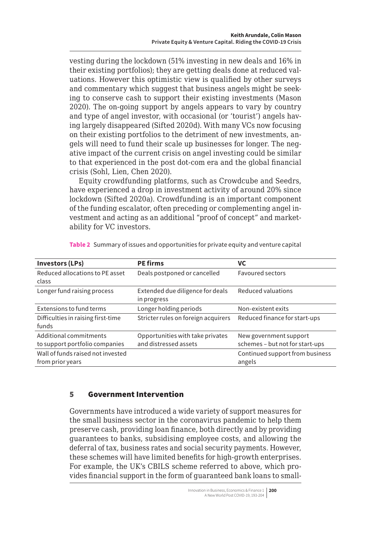vesting during the lockdown (51% investing in new deals and 16% in their existing portfolios); they are getting deals done at reduced valuations. However this optimistic view is qualified by other surveys and commentary which suggest that business angels might be seeking to conserve cash to support their existing investments (Mason 2020). The on-going support by angels appears to vary by country and type of angel investor, with occasional (or 'tourist') angels having largely disappeared (Sifted 2020d). With many VCs now focusing on their existing portfolios to the detriment of new investments, angels will need to fund their scale up businesses for longer. The negative impact of the current crisis on angel investing could be similar to that experienced in the post dot-com era and the global financial crisis (Sohl, Lien, Chen 2020).

Equity crowdfunding platforms, such as Crowdcube and Seedrs, have experienced a drop in investment activity of around 20% since lockdown (Sifted 2020a). Crowdfunding is an important component of the funding escalator, often preceding or complementing angel investment and acting as an additional "proof of concept" and marketability for VC investors.

| <b>Investors (LPs)</b>                                   | <b>PE firms</b>                                           | VC                                                        |
|----------------------------------------------------------|-----------------------------------------------------------|-----------------------------------------------------------|
| Reduced allocations to PE asset<br>class                 | Deals postponed or cancelled                              | <b>Favoured sectors</b>                                   |
| Longer fund raising process                              | Extended due diligence for deals<br>in progress           | Reduced valuations                                        |
| Extensions to fund terms                                 | Longer holding periods                                    | Non-existent exits                                        |
| Difficulties in raising first-time<br>funds              | Stricter rules on foreign acquirers                       | Reduced finance for start-ups                             |
| Additional commitments<br>to support portfolio companies | Opportunities with take privates<br>and distressed assets | New government support<br>schemes - but not for start-ups |
| Wall of funds raised not invested<br>from prior years    |                                                           | Continued support from business<br>angels                 |

**Table 2** Summary of issues and opportunities for private equity and venture capital

# 5 Government Intervention

Governments have introduced a wide variety of support measures for the small business sector in the coronavirus pandemic to help them preserve cash, providing loan finance, both directly and by providing guarantees to banks, subsidising employee costs, and allowing the deferral of tax, business rates and social security payments. However, these schemes will have limited benefits for high-growth enterprises. For example, the UK's CBILS scheme referred to above, which provides financial support in the form of guaranteed bank loans to small-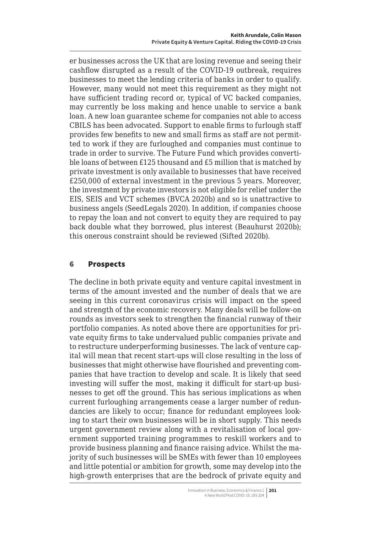<span id="page-8-0"></span>er businesses across the UK that are losing revenue and seeing their cashflow disrupted as a result of the COVID-19 outbreak, requires businesses to meet the lending criteria of banks in order to qualify. However, many would not meet this requirement as they might not have sufficient trading record or, typical of VC backed companies, may currently be loss making and hence unable to service a bank loan. A new loan guarantee scheme for companies not able to access CBILS has been advocated. Support to enable firms to furlough staff provides few benefits to new and small firms as staff are not permitted to work if they are furloughed and companies must continue to trade in order to survive. The Future Fund which provides convertible loans of between £125 thousand and £5 million that is matched by private investment is only available to businesses that have received £250,000 of external investment in the previous 5 years. Moreover, the investment by private investors is not eligible for relief under the EIS, SEIS and VCT schemes (BVCA 2020b) and so is unattractive to business angels (SeedLegals 2020). In addition, if companies choose to repay the loan and not convert to equity they are required to pay back double what they borrowed, plus interest (Beauhurst 2020b); this onerous constraint should be reviewed (Sifted 2020b).

#### 6 Prospects

The decline in both private equity and venture capital investment in terms of the amount invested and the number of deals that we are seeing in this current coronavirus crisis will impact on the speed and strength of the economic recovery. Many deals will be follow-on rounds as investors seek to strengthen the financial runway of their portfolio companies. As noted above there are opportunities for private equity firms to take undervalued public companies private and to restructure underperforming businesses. The lack of venture capital will mean that recent start-ups will close resulting in the loss of businesses that might otherwise have flourished and preventing companies that have traction to develop and scale. It is likely that seed investing will suffer the most, making it difficult for start-up businesses to get off the ground. This has serious implications as when current furloughing arrangements cease a larger number of redundancies are likely to occur; finance for redundant employees looking to start their own businesses will be in short supply. This needs urgent government review along with a revitalisation of local government supported training programmes to reskill workers and to provide business planning and finance raising advice. Whilst the majority of such businesses will be SMEs with fewer than 10 employees and little potential or ambition for growth, some may develop into the high-growth enterprises that are the bedrock of private equity and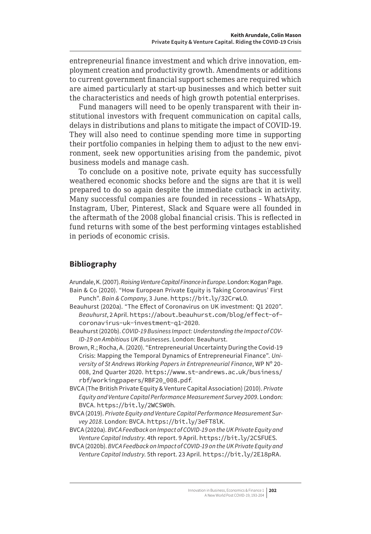<span id="page-9-0"></span>entrepreneurial finance investment and which drive innovation, employment creation and productivity growth. Amendments or additions to current government financial support schemes are required which are aimed particularly at start-up businesses and which better suit the characteristics and needs of high growth potential enterprises.

Fund managers will need to be openly transparent with their institutional investors with frequent communication on capital calls, delays in distributions and plans to mitigate the impact of COVID-19. They will also need to continue spending more time in supporting their portfolio companies in helping them to adjust to the new environment, seek new opportunities arising from the pandemic, pivot business models and manage cash.

To conclude on a positive note, private equity has successfully weathered economic shocks before and the signs are that it is well prepared to do so again despite the immediate cutback in activity. Many successful companies are founded in recessions – WhatsApp, Instagram, Uber, Pinterest, Slack and Square were all founded in the aftermath of the 2008 global financial crisis. This is reflected in fund returns with some of the best performing vintages established in periods of economic crisis.

# **Bibliography**

Arundale, K. (2007). *Raising Venture Capital Finance in Europe*. London: Kogan Page. Bain & Co (2020). "How European Private Equity is Taking Coronavirus' First

- Punch". *Bain & Company*, 3 June. https://bit.ly/32CrwLO.
- Beauhurst (2020a). "The Effect of Coronavirus on UK investment: Q1 2020". *Beauhurst*, 2 April. [https://about.beauhurst.com/blog/effect-of](https://about.beauhurst.com/blog/effect-of-coronavirus-uk-investment-q1-2020)[coronavirus-uk-investment-q1-2020](https://about.beauhurst.com/blog/effect-of-coronavirus-uk-investment-q1-2020).
- Beauhurst (2020b). *COVID-19 Business Impact: Understanding the Impact of COV-ID-19 on Ambitious UK Businesses*. London: Beauhurst.

Brown, R.; Rocha, A. (2020). "Entrepreneurial Uncertainty During the Covid-19 Crisis: Mapping the Temporal Dynamics of Entrepreneurial Finance". *University of St Andrews Working Papers in Entrepreneurial Finance*, WP Nº 20- 008, 2nd Quarter 2020. [https://www.st-andrews.ac.uk/business/](https://www.st-andrews.ac.uk/business/rbf/workingpapers/RBF20_008.pdf) [rbf/workingpapers/RBF20\\_008.pdf](https://www.st-andrews.ac.uk/business/rbf/workingpapers/RBF20_008.pdf).

- BVCA (The British Private Equity & Venture Capital Association) (2010). *Private Equity and Venture Capital Performance Measurement Survey 2009*. London: BVCA. https://bit.ly/2WCSW0h.
- BVCA (2019). *Private Equity and Venture Capital Performance Measurement Survey 2018*. London: BVCA. https://bit.ly/3eFT8lK.

BVCA (2020a). *BVCA Feedback on Impact of COVID-19 on the UK Private Equity and Venture Capital Industry*. 4th report. 9 April. https://bit.ly/2CSFUES.

BVCA (2020b). *BVCA Feedback on Impact of COVID-19 on the UK Private Equity and Venture Capital Industry*. 5th report. 23 April. https://bit.ly/2E18pRA.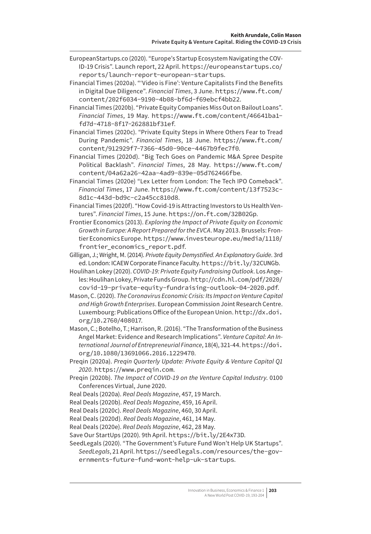- EuropeanStartups.co (2020). "Europe's Startup Ecosystem Navigating the COV-ID-19 Crisis". Launch report, 22 April. https://europeanstartups.co/ reports/launch-report-european-startups.
- Financial Times (2020a). "'Video is Fine': Venture Capitalists Find the Benefits in Digital Due Diligence". *Financial Times*, 3 June. [https://www.ft.com/](https://www.ft.com/content/202f6034-9190-4b08-bf6d-f69ebcf4bb22) [content/202f6034-9190-4b08-bf6d-f69ebcf4bb22](https://www.ft.com/content/202f6034-9190-4b08-bf6d-f69ebcf4bb22).
- Financial Times (2020b). "Private Equity Companies Miss Out on Bailout Loans". *Financial Times*, 19 May. [https://www.ft.com/content/46641ba1](https://www.ft.com/content/46641ba1-fd7d-4718-8f17-262881bf31ef) [fd7d-4718-8f17-262881bf31ef](https://www.ft.com/content/46641ba1-fd7d-4718-8f17-262881bf31ef).
- Financial Times (2020c). "Private Equity Steps in Where Others Fear to Tread During Pandemic". *Financial Times*, 18 June. [https://www.ft.com/](https://www.ft.com/content/912929f7-7366-45d0-90ce-4467b9fec7f0) [content/912929f7-7366-45d0-90ce-4467b9fec7f0](https://www.ft.com/content/912929f7-7366-45d0-90ce-4467b9fec7f0).
- Financial Times (2020d). "Big Tech Goes on Pandemic M&A Spree Despite Political Backlash". *Financial Times*, 28 May. [https://www.ft.com/](https://www.ft.com/content/04a62a26-42aa-4ad9-839e-05d762466fbe) [content/04a62a26-42aa-4ad9-839e-05d762466fbe](https://www.ft.com/content/04a62a26-42aa-4ad9-839e-05d762466fbe).
- Financial Times (2020e) "Lex Letter from London: The Tech IPO Comeback". *Financial Times*, 17 June. [https://www.ft.com/content/13f7523c-](https://www.ft.com/content/13f7523c-8d1c-443d-bd9c-c2a45cc810d8)[8d1c-443d-bd9c-c2a45cc810d8](https://www.ft.com/content/13f7523c-8d1c-443d-bd9c-c2a45cc810d8).
- Financial Times (2020f). "How Covid-19 is Attracting Investors to Us Health Ventures". *Financial Times*, 15 June. <https://on.ft.com/32B02Gp>.
- Frontier Economics (2013). *Exploring the Impact of Private Equity on Economic Growth in Europe: A Report Prepared for the EVCA*. May 2013. Brussels: Frontier Economics Europe. [https://www.investeurope.eu/media/1110/](https://www.investeurope.eu/media/1110/frontier_economics_report.pdf) [frontier\\_economics\\_report.pdf](https://www.investeurope.eu/media/1110/frontier_economics_report.pdf).
- Gilligan, J.; Wright, M. (2014). *Private Equity Demystified. An Explanatory Guide*. 3rd ed. London: ICAEW Corporate Finance Faculty. https://bit.ly/32CUNGb.
- Houlihan Lokey (2020). *COVID-19: Private Equity Fundraising Outlook*. Los Angeles: Houlihan Lokey, Private Funds Group. [http://cdn.hl.com/pdf/2020/](http://cdn.hl.com/pdf/2020/covid-19-private-equity-fundraising-outlook-04-2020.pdf) [covid-19-private-equity-fundraising-outlook-04-2020.pdf](http://cdn.hl.com/pdf/2020/covid-19-private-equity-fundraising-outlook-04-2020.pdf).
- Mason, C. (2020). *The Coronavirus Economic Crisis: Its Impact on Venture Capital and High Growth Enterprises*. European Commission Joint Research Centre. Luxembourg: Publications Office of the European Union. [http://dx.doi.](http://dx.doi.org/10.2760/408017) [org/10.2760/408017](http://dx.doi.org/10.2760/408017).
- Mason, C.; Botelho, T.; Harrison, R. (2016). "The Transformation of the Business Angel Market: Evidence and Research Implications". *Venture Capital: An International Journal of Entrepreneurial Finance*, 18(4), 321-44. [https://doi.](https://doi.org/10.1080/13691066.2016.1229470) [org/10.1080/13691066.2016.1229470](https://doi.org/10.1080/13691066.2016.1229470).
- Preqin (2020a). *Preqin Quarterly Update: Private Equity & Venture Capital Q1 2020*. <https://www.preqin.com>.
- Preqin (2020b). *The Impact of COVID-19 on the Venture Capital Industry*. 0100 Conferences Virtual, June 2020.
- Real Deals (2020a). *Real Deals Magazine*, 457, 19 March.
- Real Deals (2020b). *Real Deals Magazine*, 459, 16 April.
- Real Deals (2020c). *Real Deals Magazine*, 460, 30 April.
- Real Deals (2020d). *Real Deals Magazine*, 461, 14 May.
- Real Deals (2020e). *Real Deals Magazine*, 462, 28 May.
- Save Our StartUps (2020). 9th April. https://bit.ly/2E4x73D.
- SeedLegals (2020). "The Government's Future Fund Won't Help UK Startups". *SeedLegals*, 21 April. [https://seedlegals.com/resources/the-gov](https://seedlegals.com/resources/the-governments-future-fund-wont-help-uk-startups)[ernments-future-fund-wont-help-uk-startups](https://seedlegals.com/resources/the-governments-future-fund-wont-help-uk-startups).